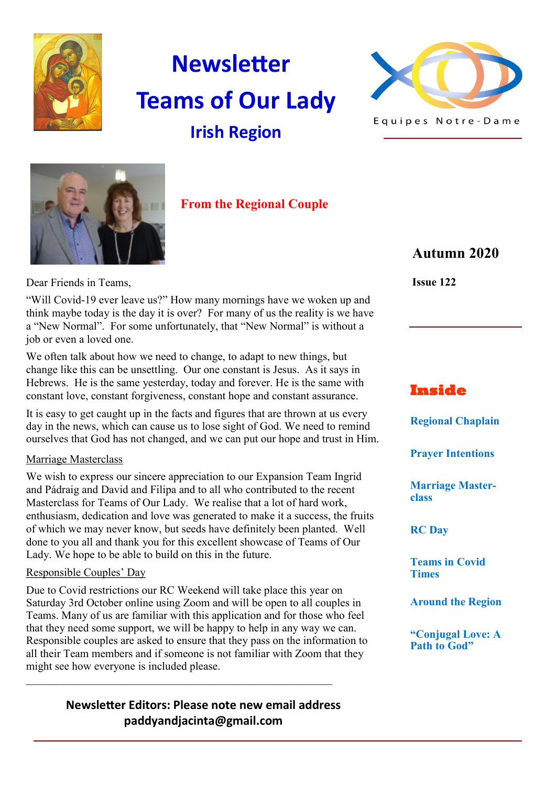

# **Newsletter Teams of Our Lady Irish Region**





 **From the Regional Couple**

# **Autumn 2020**

Dear Friends in Teams,

"Will Covid-19 ever leave us?" How many mornings have we woken up and think maybe today is the day it is over? For many of us the reality is we have a "New Normal". For some unfortunately, that "New Normal" is without a job or even a loved one.

We often talk about how we need to change, to adapt to new things, but change like this can be unsettling. Our one constant is Jesus. As it says in Hebrews. He is the same yesterday, today and forever. He is the same with constant love, constant forgiveness, constant hope and constant assurance.

It is easy to get caught up in the facts and figures that are thrown at us every day in the news, which can cause us to lose sight of God. We need to remind ourselves that God has not changed, and we can put our hope and trust in Him.

#### Marriage Masterclass

We wish to express our sincere appreciation to our Expansion Team Ingrid and Pádraig and David and Filipa and to all who contributed to the recent Masterclass for Teams of Our Lady. We realise that a lot of hard work, enthusiasm, dedication and love was generated to make it a success, the fruits of which we may never know, but seeds have definitely been planted. Well done to you all and thank you for this excellent showcase of Teams of Our Lady. We hope to be able to build on this in the future.

#### Responsible Couples' Day

Due to Covid restrictions our RC Weekend will take place this year on Saturday 3rd October online using Zoom and will be open to all couples in Teams. Many of us are familiar with this application and for those who feel that they need some support, we will be happy to help in any way we can. Responsible couples are asked to ensure that they pass on the information to all their Team members and if someone is not familiar with Zoom that they might see how everyone is included please.

## **Newsletter Editors: Please note new email address paddyandjacinta@gmail.com**

**—————————————————————————————————————————** 

**Issue 122**

#### **Inside**

**Regional Chaplain**

**Prayer Intentions**

**Marriage Masterclass**

**RC Day**

**Teams in Covid Times**

**Around the Region**

**"Conjugal Love: A Path to God"**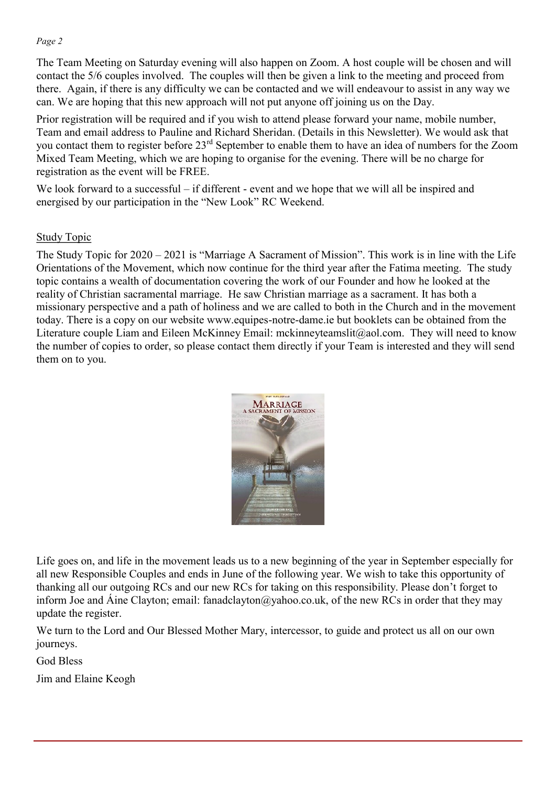The Team Meeting on Saturday evening will also happen on Zoom. A host couple will be chosen and will contact the 5/6 couples involved. The couples will then be given a link to the meeting and proceed from there. Again, if there is any difficulty we can be contacted and we will endeavour to assist in any way we can. We are hoping that this new approach will not put anyone off joining us on the Day.

Prior registration will be required and if you wish to attend please forward your name, mobile number, Team and email address to Pauline and Richard Sheridan. (Details in this Newsletter). We would ask that you contact them to register before 23rd September to enable them to have an idea of numbers for the Zoom Mixed Team Meeting, which we are hoping to organise for the evening. There will be no charge for registration as the event will be FREE.

We look forward to a successful – if different - event and we hope that we will all be inspired and energised by our participation in the "New Look" RC Weekend.

#### Study Topic

The Study Topic for 2020 – 2021 is "Marriage A Sacrament of Mission". This work is in line with the Life Orientations of the Movement, which now continue for the third year after the Fatima meeting. The study topic contains a wealth of documentation covering the work of our Founder and how he looked at the reality of Christian sacramental marriage. He saw Christian marriage as a sacrament. It has both a missionary perspective and a path of holiness and we are called to both in the Church and in the movement today. There is a copy on our website www.equipes-notre-dame.ie but booklets can be obtained from the Literature couple Liam and Eileen McKinney Email: mckinneyteamslit@aol.com. They will need to know the number of copies to order, so please contact them directly if your Team is interested and they will send them on to you.



Life goes on, and life in the movement leads us to a new beginning of the year in September especially for all new Responsible Couples and ends in June of the following year. We wish to take this opportunity of thanking all our outgoing RCs and our new RCs for taking on this responsibility. Please don't forget to inform Joe and Áine Clayton; email: fanadclayton@yahoo.co.uk, of the new RCs in order that they may update the register.

We turn to the Lord and Our Blessed Mother Mary, intercessor, to guide and protect us all on our own journeys.

God Bless

Jim and Elaine Keogh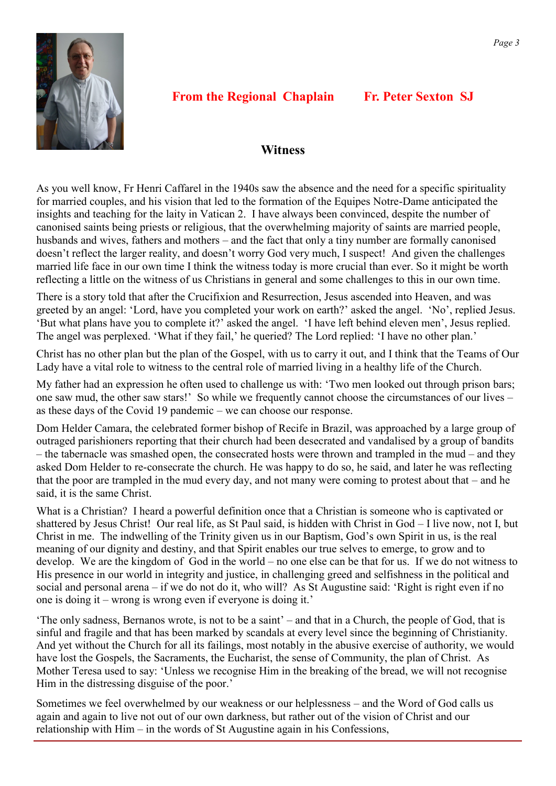

# **From the Regional Chaplain Fr. Peter Sexton SJ**

#### **Witness**

As you well know, Fr Henri Caffarel in the 1940s saw the absence and the need for a specific spirituality for married couples, and his vision that led to the formation of the Equipes Notre-Dame anticipated the insights and teaching for the laity in Vatican 2. I have always been convinced, despite the number of canonised saints being priests or religious, that the overwhelming majority of saints are married people, husbands and wives, fathers and mothers – and the fact that only a tiny number are formally canonised doesn't reflect the larger reality, and doesn't worry God very much, I suspect! And given the challenges married life face in our own time I think the witness today is more crucial than ever. So it might be worth reflecting a little on the witness of us Christians in general and some challenges to this in our own time.

There is a story told that after the Crucifixion and Resurrection, Jesus ascended into Heaven, and was greeted by an angel: 'Lord, have you completed your work on earth?' asked the angel. 'No', replied Jesus. 'But what plans have you to complete it?' asked the angel. 'I have left behind eleven men', Jesus replied. The angel was perplexed. 'What if they fail,' he queried? The Lord replied: 'I have no other plan.'

Christ has no other plan but the plan of the Gospel, with us to carry it out, and I think that the Teams of Our Lady have a vital role to witness to the central role of married living in a healthy life of the Church.

My father had an expression he often used to challenge us with: 'Two men looked out through prison bars; one saw mud, the other saw stars!' So while we frequently cannot choose the circumstances of our lives – as these days of the Covid 19 pandemic – we can choose our response.

Dom Helder Camara, the celebrated former bishop of Recife in Brazil, was approached by a large group of outraged parishioners reporting that their church had been desecrated and vandalised by a group of bandits – the tabernacle was smashed open, the consecrated hosts were thrown and trampled in the mud – and they asked Dom Helder to re-consecrate the church. He was happy to do so, he said, and later he was reflecting that the poor are trampled in the mud every day, and not many were coming to protest about that – and he said, it is the same Christ.

What is a Christian? I heard a powerful definition once that a Christian is someone who is captivated or shattered by Jesus Christ! Our real life, as St Paul said, is hidden with Christ in God – I live now, not I, but Christ in me. The indwelling of the Trinity given us in our Baptism, God's own Spirit in us, is the real meaning of our dignity and destiny, and that Spirit enables our true selves to emerge, to grow and to develop. We are the kingdom of God in the world – no one else can be that for us. If we do not witness to His presence in our world in integrity and justice, in challenging greed and selfishness in the political and social and personal arena – if we do not do it, who will? As St Augustine said: 'Right is right even if no one is doing it – wrong is wrong even if everyone is doing it.'

'The only sadness, Bernanos wrote, is not to be a saint' – and that in a Church, the people of God, that is sinful and fragile and that has been marked by scandals at every level since the beginning of Christianity. And yet without the Church for all its failings, most notably in the abusive exercise of authority, we would have lost the Gospels, the Sacraments, the Eucharist, the sense of Community, the plan of Christ. As Mother Teresa used to say: 'Unless we recognise Him in the breaking of the bread, we will not recognise Him in the distressing disguise of the poor.'

Sometimes we feel overwhelmed by our weakness or our helplessness – and the Word of God calls us again and again to live not out of our own darkness, but rather out of the vision of Christ and our relationship with Him – in the words of St Augustine again in his Confessions,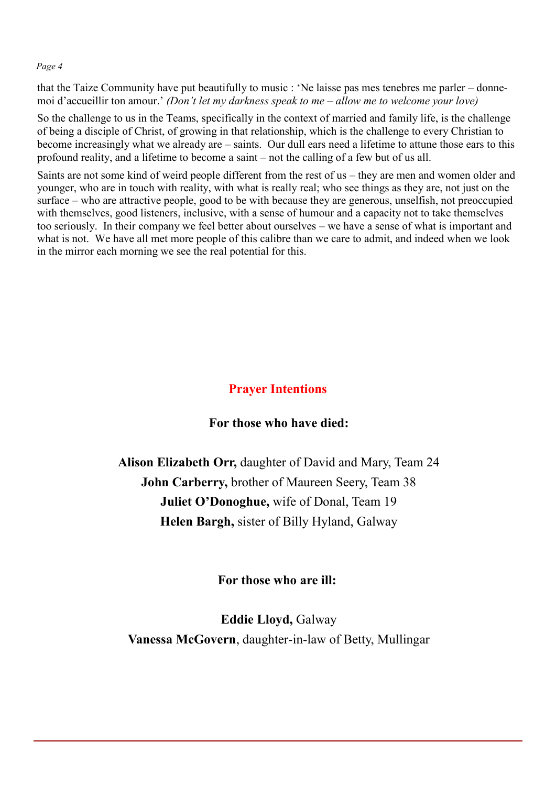that the Taize Community have put beautifully to music : 'Ne laisse pas mes tenebres me parler – donnemoi d'accueillir ton amour.' *(Don't let my darkness speak to me – allow me to welcome your love)*

So the challenge to us in the Teams, specifically in the context of married and family life, is the challenge of being a disciple of Christ, of growing in that relationship, which is the challenge to every Christian to become increasingly what we already are – saints. Our dull ears need a lifetime to attune those ears to this profound reality, and a lifetime to become a saint – not the calling of a few but of us all.

Saints are not some kind of weird people different from the rest of us – they are men and women older and younger, who are in touch with reality, with what is really real; who see things as they are, not just on the surface – who are attractive people, good to be with because they are generous, unselfish, not preoccupied with themselves, good listeners, inclusive, with a sense of humour and a capacity not to take themselves too seriously. In their company we feel better about ourselves – we have a sense of what is important and what is not. We have all met more people of this calibre than we care to admit, and indeed when we look in the mirror each morning we see the real potential for this.

# **Prayer Intentions**

#### **For those who have died:**

**Alison Elizabeth Orr,** daughter of David and Mary, Team 24 **John Carberry,** brother of Maureen Seery, Team 38 **Juliet O'Donoghue,** wife of Donal, Team 19 **Helen Bargh,** sister of Billy Hyland, Galway

#### **For those who are ill:**

**Eddie Lloyd,** Galway **Vanessa McGovern**, daughter-in-law of Betty, Mullingar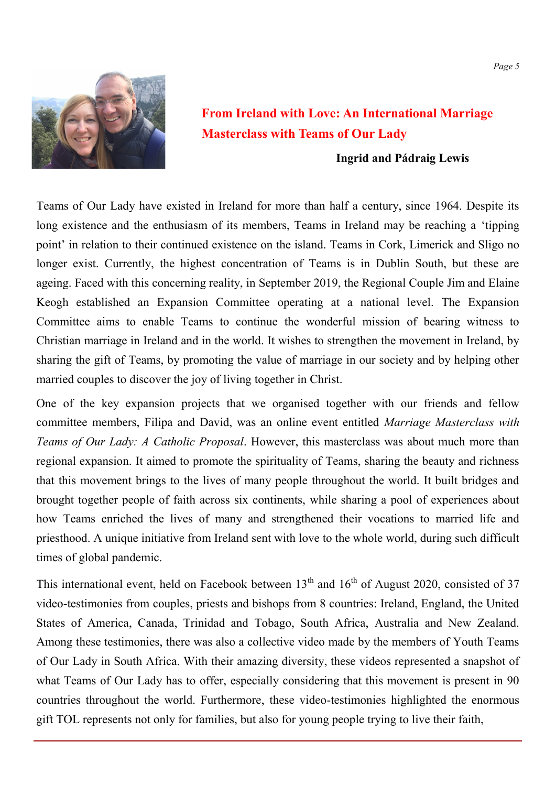

# **From Ireland with Love: An International Marriage Masterclass with Teams of Our Lady**

#### **Ingrid and Pádraig Lewis**

Teams of Our Lady have existed in Ireland for more than half a century, since 1964. Despite its long existence and the enthusiasm of its members, Teams in Ireland may be reaching a 'tipping point' in relation to their continued existence on the island. Teams in Cork, Limerick and Sligo no longer exist. Currently, the highest concentration of Teams is in Dublin South, but these are ageing. Faced with this concerning reality, in September 2019, the Regional Couple Jim and Elaine Keogh established an Expansion Committee operating at a national level. The Expansion Committee aims to enable Teams to continue the wonderful mission of bearing witness to Christian marriage in Ireland and in the world. It wishes to strengthen the movement in Ireland, by sharing the gift of Teams, by promoting the value of marriage in our society and by helping other married couples to discover the joy of living together in Christ.

One of the key expansion projects that we organised together with our friends and fellow committee members, Filipa and David, was an online event entitled *Marriage Masterclass with Teams of Our Lady: A Catholic Proposal*. However, this masterclass was about much more than regional expansion. It aimed to promote the spirituality of Teams, sharing the beauty and richness that this movement brings to the lives of many people throughout the world. It built bridges and brought together people of faith across six continents, while sharing a pool of experiences about how Teams enriched the lives of many and strengthened their vocations to married life and priesthood. A unique initiative from Ireland sent with love to the whole world, during such difficult times of global pandemic.

This international event, held on Facebook between  $13<sup>th</sup>$  and  $16<sup>th</sup>$  of August 2020, consisted of 37 video-testimonies from couples, priests and bishops from 8 countries: Ireland, England, the United States of America, Canada, Trinidad and Tobago, South Africa, Australia and New Zealand. Among these testimonies, there was also a collective video made by the members of Youth Teams of Our Lady in South Africa. With their amazing diversity, these videos represented a snapshot of what Teams of Our Lady has to offer, especially considering that this movement is present in 90 countries throughout the world. Furthermore, these video-testimonies highlighted the enormous gift TOL represents not only for families, but also for young people trying to live their faith,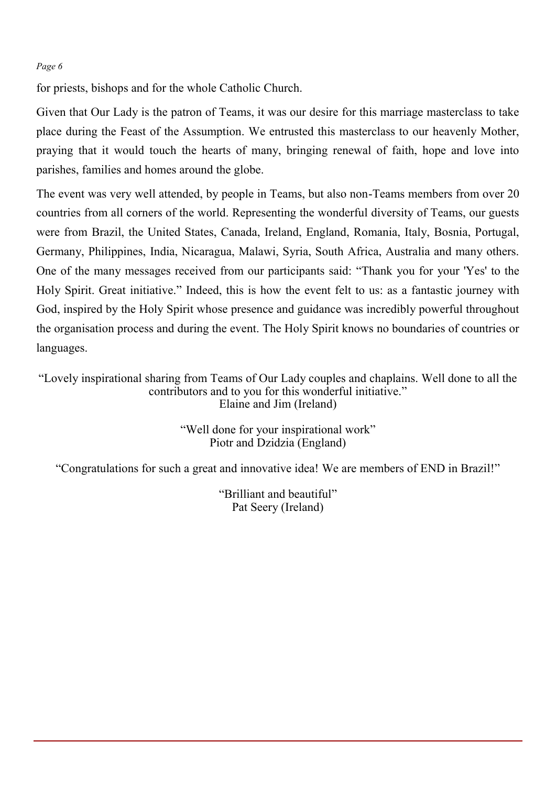for priests, bishops and for the whole Catholic Church.

Given that Our Lady is the patron of Teams, it was our desire for this marriage masterclass to take place during the Feast of the Assumption. We entrusted this masterclass to our heavenly Mother, praying that it would touch the hearts of many, bringing renewal of faith, hope and love into parishes, families and homes around the globe.

The event was very well attended, by people in Teams, but also non-Teams members from over 20 countries from all corners of the world. Representing the wonderful diversity of Teams, our guests were from Brazil, the United States, Canada, Ireland, England, Romania, Italy, Bosnia, Portugal, Germany, Philippines, India, Nicaragua, Malawi, Syria, South Africa, Australia and many others. One of the many messages received from our participants said: "Thank you for your 'Yes' to the Holy Spirit. Great initiative." Indeed, this is how the event felt to us: as a fantastic journey with God, inspired by the Holy Spirit whose presence and guidance was incredibly powerful throughout the organisation process and during the event. The Holy Spirit knows no boundaries of countries or languages.

"Lovely inspirational sharing from Teams of Our Lady couples and chaplains. Well done to all the contributors and to you for this wonderful initiative." Elaine and Jim (Ireland)

> "Well done for your inspirational work" Piotr and Dzidzia (England)

"Congratulations for such a great and innovative idea! We are members of END in Brazil!"

"Brilliant and beautiful" Pat Seery (Ireland)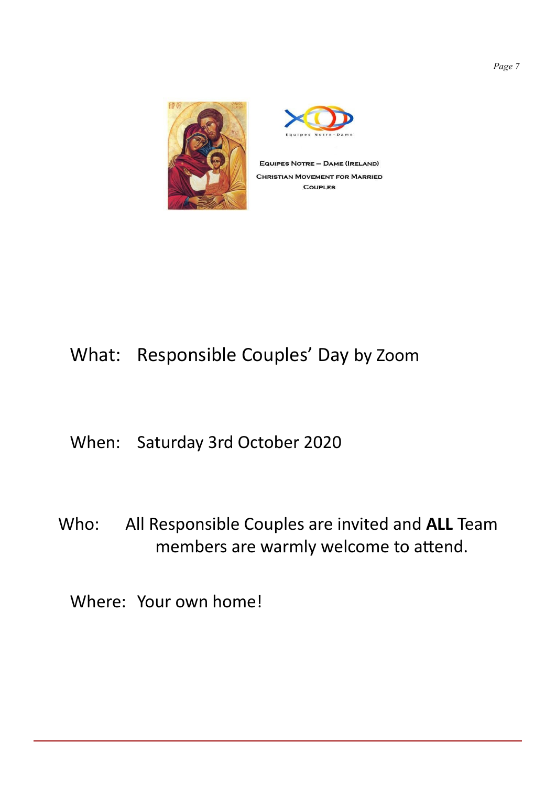

EQUIPES NOTRE - DAME (IRELAND) **CHRISTIAN MOVEMENT FOR MARRIED COUPLES** 

# What: Responsible Couples' Day by Zoom

# When: Saturday 3rd October 2020

Who: All Responsible Couples are invited and **ALL** Team members are warmly welcome to attend.

Where: Your own home!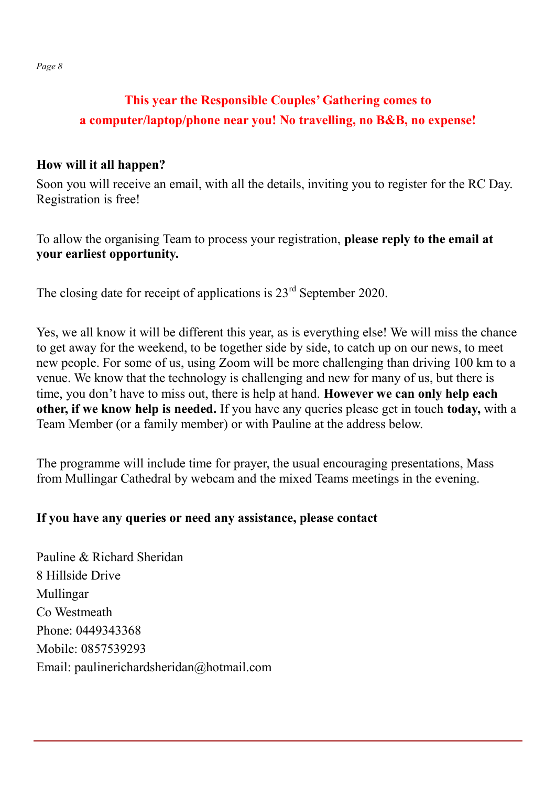# **This year the Responsible Couples' Gathering comes to a computer/laptop/phone near you! No travelling, no B&B, no expense!**

# **How will it all happen?**

Soon you will receive an email, with all the details, inviting you to register for the RC Day. Registration is free!

To allow the organising Team to process your registration, **please reply to the email at your earliest opportunity.**

The closing date for receipt of applications is  $23<sup>rd</sup>$  September 2020.

Yes, we all know it will be different this year, as is everything else! We will miss the chance to get away for the weekend, to be together side by side, to catch up on our news, to meet new people. For some of us, using Zoom will be more challenging than driving 100 km to a venue. We know that the technology is challenging and new for many of us, but there is time, you don't have to miss out, there is help at hand. **However we can only help each other, if we know help is needed.** If you have any queries please get in touch **today,** with a Team Member (or a family member) or with Pauline at the address below.

The programme will include time for prayer, the usual encouraging presentations, Mass from Mullingar Cathedral by webcam and the mixed Teams meetings in the evening.

# **If you have any queries or need any assistance, please contact**

Pauline & Richard Sheridan 8 Hillside Drive Mullingar Co Westmeath Phone: 0449343368 Mobile: 0857539293 Email: paulinerichardsheridan@hotmail.com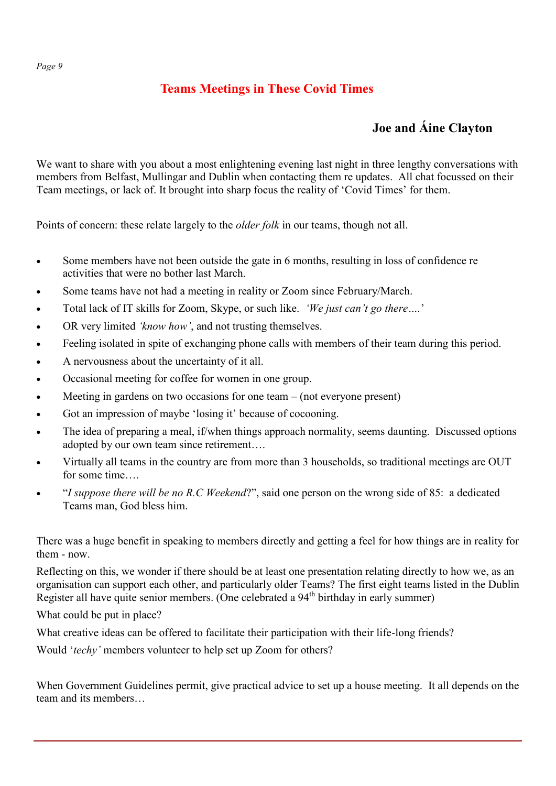# **Teams Meetings in These Covid Times**

# **Joe and Áine Clayton**

We want to share with you about a most enlightening evening last night in three lengthy conversations with members from Belfast, Mullingar and Dublin when contacting them re updates. All chat focussed on their Team meetings, or lack of. It brought into sharp focus the reality of 'Covid Times' for them.

Points of concern: these relate largely to the *older folk* in our teams, though not all.

- Some members have not been outside the gate in 6 months, resulting in loss of confidence re activities that were no bother last March.
- Some teams have not had a meeting in reality or Zoom since February/March.
- Total lack of IT skills for Zoom, Skype, or such like. *'We just can't go there….*'
- OR very limited *'know how'*, and not trusting themselves.
- Feeling isolated in spite of exchanging phone calls with members of their team during this period.
- A nervousness about the uncertainty of it all.
- Occasional meeting for coffee for women in one group.
- Meeting in gardens on two occasions for one team (not everyone present)
- Got an impression of maybe 'losing it' because of cocooning.
- The idea of preparing a meal, if/when things approach normality, seems daunting. Discussed options adopted by our own team since retirement….
- Virtually all teams in the country are from more than 3 households, so traditional meetings are OUT for some time….
- "*I suppose there will be no R.C Weekend*?", said one person on the wrong side of 85: a dedicated Teams man, God bless him.

There was a huge benefit in speaking to members directly and getting a feel for how things are in reality for them - now.

Reflecting on this, we wonder if there should be at least one presentation relating directly to how we, as an organisation can support each other, and particularly older Teams? The first eight teams listed in the Dublin Register all have quite senior members. (One celebrated a 94<sup>th</sup> birthday in early summer)

What could be put in place?

What creative ideas can be offered to facilitate their participation with their life-long friends?

Would '*techy'* members volunteer to help set up Zoom for others?

When Government Guidelines permit, give practical advice to set up a house meeting. It all depends on the team and its members…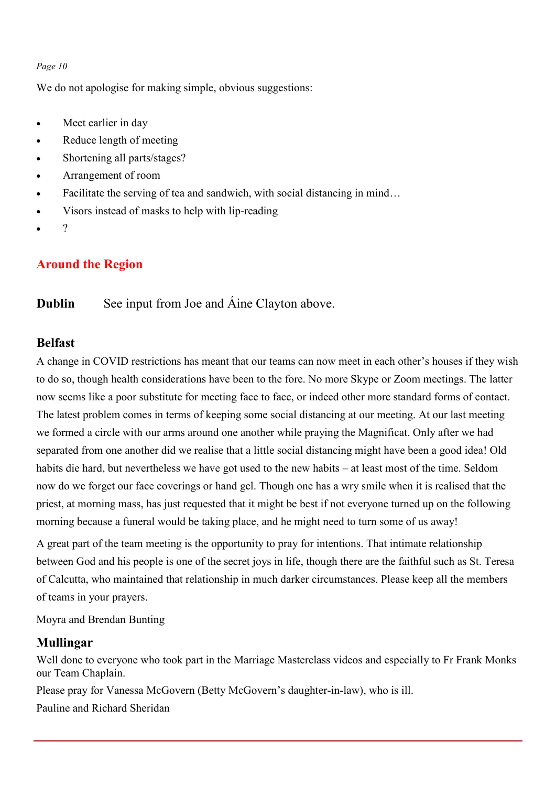We do not apologise for making simple, obvious suggestions:

- Meet earlier in day
- Reduce length of meeting
- Shortening all parts/stages?
- Arrangement of room
- Facilitate the serving of tea and sandwich, with social distancing in mind...
- Visors instead of masks to help with lip-reading
- $\gamma$

## **Around the Region**

#### **Dublin** See input from Joe and Aine Clayton above.

#### **Belfast**

A change in COVID restrictions has meant that our teams can now meet in each other's houses if they wish to do so, though health considerations have been to the fore. No more Skype or Zoom meetings. The latter now seems like a poor substitute for meeting face to face, or indeed other more standard forms of contact. The latest problem comes in terms of keeping some social distancing at our meeting. At our last meeting we formed a circle with our arms around one another while praying the Magnificat. Only after we had separated from one another did we realise that a little social distancing might have been a good idea! Old habits die hard, but nevertheless we have got used to the new habits – at least most of the time. Seldom now do we forget our face coverings or hand gel. Though one has a wry smile when it is realised that the priest, at morning mass, has just requested that it might be best if not everyone turned up on the following morning because a funeral would be taking place, and he might need to turn some of us away!

A great part of the team meeting is the opportunity to pray for intentions. That intimate relationship between God and his people is one of the secret joys in life, though there are the faithful such as St. Teresa of Calcutta, who maintained that relationship in much darker circumstances. Please keep all the members of teams in your prayers.

Moyra and Brendan Bunting

#### **Mullingar**

Well done to everyone who took part in the Marriage Masterclass videos and especially to Fr Frank Monks our Team Chaplain.

Please pray for Vanessa McGovern (Betty McGovern's daughter-in-law), who is ill.

Pauline and Richard Sheridan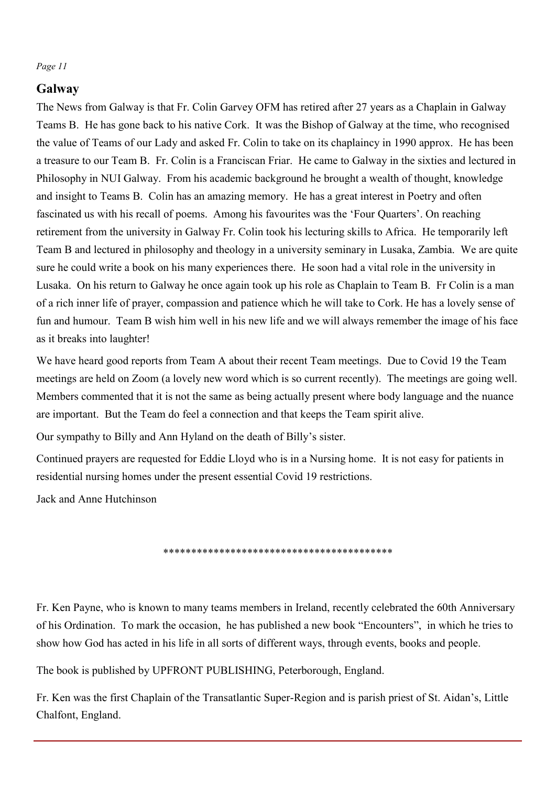# **Galway**

The News from Galway is that Fr. Colin Garvey OFM has retired after 27 years as a Chaplain in Galway Teams B. He has gone back to his native Cork. It was the Bishop of Galway at the time, who recognised the value of Teams of our Lady and asked Fr. Colin to take on its chaplaincy in 1990 approx. He has been a treasure to our Team B. Fr. Colin is a Franciscan Friar. He came to Galway in the sixties and lectured in Philosophy in NUI Galway. From his academic background he brought a wealth of thought, knowledge and insight to Teams B. Colin has an amazing memory. He has a great interest in Poetry and often fascinated us with his recall of poems. Among his favourites was the 'Four Quarters'. On reaching retirement from the university in Galway Fr. Colin took his lecturing skills to Africa. He temporarily left Team B and lectured in philosophy and theology in a university seminary in Lusaka, Zambia. We are quite sure he could write a book on his many experiences there. He soon had a vital role in the university in Lusaka. On his return to Galway he once again took up his role as Chaplain to Team B. Fr Colin is a man of a rich inner life of prayer, compassion and patience which he will take to Cork. He has a lovely sense of fun and humour. Team B wish him well in his new life and we will always remember the image of his face as it breaks into laughter!

We have heard good reports from Team A about their recent Team meetings. Due to Covid 19 the Team meetings are held on Zoom (a lovely new word which is so current recently). The meetings are going well. Members commented that it is not the same as being actually present where body language and the nuance are important. But the Team do feel a connection and that keeps the Team spirit alive.

Our sympathy to Billy and Ann Hyland on the death of Billy's sister.

Continued prayers are requested for Eddie Lloyd who is in a Nursing home. It is not easy for patients in residential nursing homes under the present essential Covid 19 restrictions.

Jack and Anne Hutchinson

\*\*\*\*\*\*\*\*\*\*\*\*\*\*\*\*\*\*\*\*\*\*\*\*\*\*\*\*\*\*\*\*\*\*\*\*\*\*

Fr. Ken Payne, who is known to many teams members in Ireland, recently celebrated the 60th Anniversary of his Ordination. To mark the occasion, he has published a new book "Encounters", in which he tries to show how God has acted in his life in all sorts of different ways, through events, books and people.

The book is published by UPFRONT PUBLISHING, Peterborough, England.

Fr. Ken was the first Chaplain of the Transatlantic Super-Region and is parish priest of St. Aidan's, Little Chalfont, England.